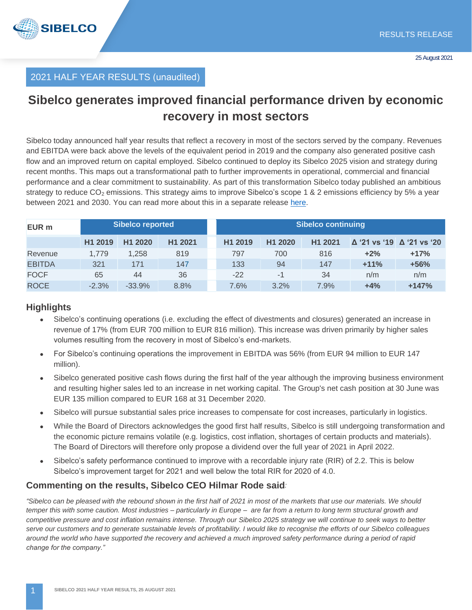

#### 2021 HALF YEAR RESULTS (unaudited)

## **Sibelco generates improved financial performance driven by economic recovery in most sectors**

Sibelco today announced half year results that reflect a recovery in most of the sectors served by the company. Revenues and EBITDA were back above the levels of the equivalent period in 2019 and the company also generated positive cash flow and an improved return on capital employed. Sibelco continued to deploy its Sibelco 2025 vision and strategy during recent months. This maps out a transformational path to further improvements in operational, commercial and financial performance and a clear commitment to sustainability. As part of this transformation Sibelco today published an ambitious strategy to reduce  $CO<sub>2</sub>$  emissions. This strategy aims to improve Sibelco's scope 1 & 2 emissions efficiency by 5% a year between 2021 and 2030. You can read more about this in a separate release [here.](https://www.sibelco.com/media/sibelco-announces-ambitious-carbon-emissions-reduction-target/)

| EUR <sub>m</sub> | Sibelco reported    |          |         | <b>Sibelco continuing</b> |                     |         |        |                                         |
|------------------|---------------------|----------|---------|---------------------------|---------------------|---------|--------|-----------------------------------------|
|                  | H <sub>1</sub> 2019 | H1 2020  | H1 2021 | H <sub>1</sub> 2019       | H <sub>1</sub> 2020 | H1 2021 |        | $\Delta$ '21 vs '19 $\Delta$ '21 vs '20 |
| Revenue          | 1.779               | 1,258    | 819     | 797                       | 700                 | 816     | $+2%$  | $+17%$                                  |
| <b>EBITDA</b>    | 321                 | 171      | 147     | 133                       | 94                  | 147     | $+11%$ | $+56%$                                  |
| <b>FOCF</b>      | 65                  | 44       | 36      | $-22$                     | $-1$                | 34      | n/m    | n/m                                     |
| <b>ROCE</b>      | $-2.3%$             | $-33.9%$ | 8.8%    | 7.6%                      | 3.2%                | 7.9%    | $+4%$  | $+147%$                                 |

#### **Highlights**

- Sibelco's continuing operations (i.e. excluding the effect of divestments and closures) generated an increase in revenue of 17% (from EUR 700 million to EUR 816 million). This increase was driven primarily by higher sales volumes resulting from the recovery in most of Sibelco's end-markets.
- For Sibelco's continuing operations the improvement in EBITDA was 56% (from EUR 94 million to EUR 147 million).
- Sibelco generated positive cash flows during the first half of the year although the improving business environment and resulting higher sales led to an increase in net working capital. The Group's net cash position at 30 June was EUR 135 million compared to EUR 168 at 31 December 2020.
- Sibelco will pursue substantial sales price increases to compensate for cost increases, particularly in logistics.
- While the Board of Directors acknowledges the good first half results, Sibelco is still undergoing transformation and the economic picture remains volatile (e.g. logistics, cost inflation, shortages of certain products and materials). The Board of Directors will therefore only propose a dividend over the full year of 2021 in April 2022.
- Sibelco's safety performance continued to improve with a recordable injury rate (RIR) of 2.2. This is below Sibelco's improvement target for 2021 and well below the total RIR for 2020 of 4.0.

#### **Commenting on the results, Sibelco CEO Hilmar Rode said***:*

*"Sibelco can be pleased with the rebound shown in the first half of 2021 in most of the markets that use our materials. We should temper this with some caution. Most industries – particularly in Europe – are far from a return to long term structural growth and competitive pressure and cost inflation remains intense. Through our Sibelco 2025 strategy we will continue to seek ways to better serve our customers and to generate sustainable levels of profitability. I would like to recognise the efforts of our Sibelco colleagues around the world who have supported the recovery and achieved a much improved safety performance during a period of rapid change for the company."*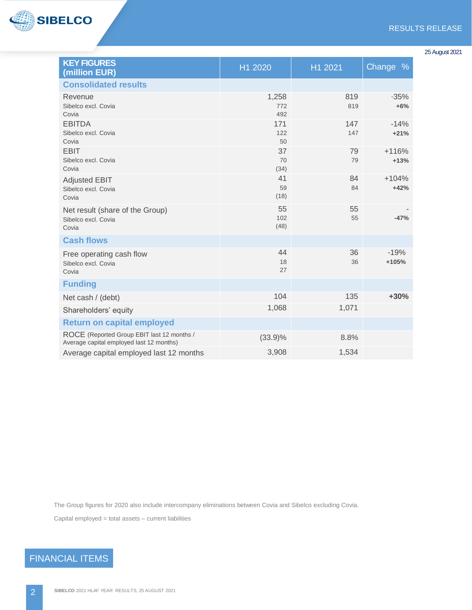

| <b>KEY FIGURES</b><br>(million EUR)                                                    | H1 2020             | H1 2021    | Change %          |
|----------------------------------------------------------------------------------------|---------------------|------------|-------------------|
| <b>Consolidated results</b>                                                            |                     |            |                   |
| Revenue<br>Sibelco excl. Covia<br>Covia                                                | 1,258<br>772<br>492 | 819<br>819 | $-35%$<br>$+6%$   |
| <b>EBITDA</b><br>Sibelco excl. Covia<br>Covia                                          | 171<br>122<br>50    | 147<br>147 | $-14%$<br>$+21%$  |
| <b>EBIT</b><br>Sibelco excl. Covia<br>Covia                                            | 37<br>70<br>(34)    | 79<br>79   | $+116%$<br>$+13%$ |
| <b>Adjusted EBIT</b><br>Sibelco excl. Covia<br>Covia                                   | 41<br>59<br>(18)    | 84<br>84   | $+104%$<br>$+42%$ |
| Net result (share of the Group)<br>Sibelco excl. Covia<br>Covia                        | 55<br>102<br>(48)   | 55<br>55   | $-47%$            |
| <b>Cash flows</b>                                                                      |                     |            |                   |
| Free operating cash flow<br>Sibelco excl. Covia<br>Covia                               | 44<br>18<br>27      | 36<br>36   | $-19%$<br>$+105%$ |
| <b>Funding</b>                                                                         |                     |            |                   |
| Net cash / (debt)                                                                      | 104                 | 135        | $+30%$            |
| Shareholders' equity                                                                   | 1,068               | 1,071      |                   |
| <b>Return on capital employed</b>                                                      |                     |            |                   |
| ROCE (Reported Group EBIT last 12 months /<br>Average capital employed last 12 months) | $(33.9)\%$          | 8.8%       |                   |
| Average capital employed last 12 months                                                | 3,908               | 1,534      |                   |

The Group figures for 2020 also include intercompany eliminations between Covia and Sibelco excluding Covia.

Capital employed = total assets – current liabilities

# FINANCIAL ITEMS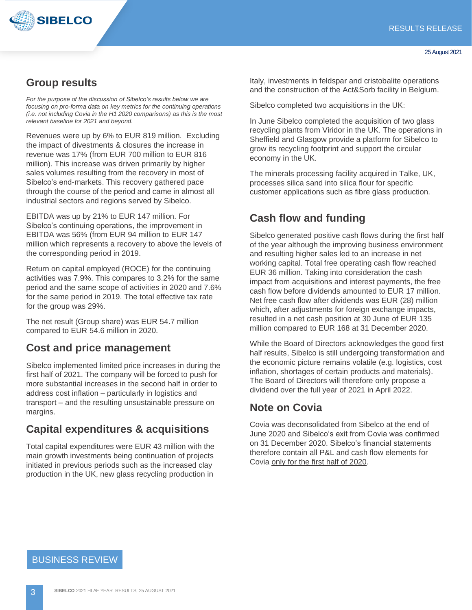

### **Group results**

*For the purpose of the discussion of Sibelco's results below we are focusing on pro-forma data on key metrics for the continuing operations (i.e. not including Covia in the H1 2020 comparisons) as this is the most relevant baseline for 2021 and beyond.*

Revenues were up by 6% to EUR 819 million. Excluding the impact of divestments & closures the increase in revenue was 17% (from EUR 700 million to EUR 816 million). This increase was driven primarily by higher sales volumes resulting from the recovery in most of Sibelco's end-markets. This recovery gathered pace through the course of the period and came in almost all industrial sectors and regions served by Sibelco.

EBITDA was up by 21% to EUR 147 million. For Sibelco's continuing operations, the improvement in EBITDA was 56% (from EUR 94 million to EUR 147 million which represents a recovery to above the levels of the corresponding period in 2019.

Return on capital employed (ROCE) for the continuing activities was 7.9%. This compares to 3.2% for the same period and the same scope of activities in 2020 and 7.6% for the same period in 2019. The total effective tax rate for the group was 29%.

The net result (Group share) was EUR 54.7 million compared to EUR 54.6 million in 2020.

#### **Cost and price management**

Sibelco implemented limited price increases in during the first half of 2021. The company will be forced to push for more substantial increases in the second half in order to address cost inflation – particularly in logistics and transport – and the resulting unsustainable pressure on margins.

#### **Capital expenditures & acquisitions**

Total capital expenditures were EUR 43 million with the main growth investments being continuation of projects initiated in previous periods such as the increased clay production in the UK, new glass recycling production in

Italy, investments in feldspar and cristobalite operations and the construction of the Act&Sorb facility in Belgium.

Sibelco completed two acquisitions in the UK:

In June Sibelco completed the acquisition of two glass recycling plants from Viridor in the UK. The operations in Sheffield and Glasgow provide a platform for Sibelco to grow its recycling footprint and support the circular economy in the UK.

The minerals processing facility acquired in Talke, UK, processes silica sand into silica flour for specific customer applications such as fibre glass production.

### **Cash flow and funding**

Sibelco generated positive cash flows during the first half of the year although the improving business environment and resulting higher sales led to an increase in net working capital. Total free operating cash flow reached EUR 36 million. Taking into consideration the cash impact from acquisitions and interest payments, the free cash flow before dividends amounted to EUR 17 million. Net free cash flow after dividends was EUR (28) million which, after adjustments for foreign exchange impacts, resulted in a net cash position at 30 June of EUR 135 million compared to EUR 168 at 31 December 2020.

While the Board of Directors acknowledges the good first half results, Sibelco is still undergoing transformation and the economic picture remains volatile (e.g. logistics, cost inflation, shortages of certain products and materials). The Board of Directors will therefore only propose a dividend over the full year of 2021 in April 2022.

#### **Note on Covia**

Covia was deconsolidated from Sibelco at the end of June 2020 and Sibelco's exit from Covia was confirmed on 31 December 2020. Sibelco's financial statements therefore contain all P&L and cash flow elements for Covia only for the first half of 2020.

BUSINESS REVIEW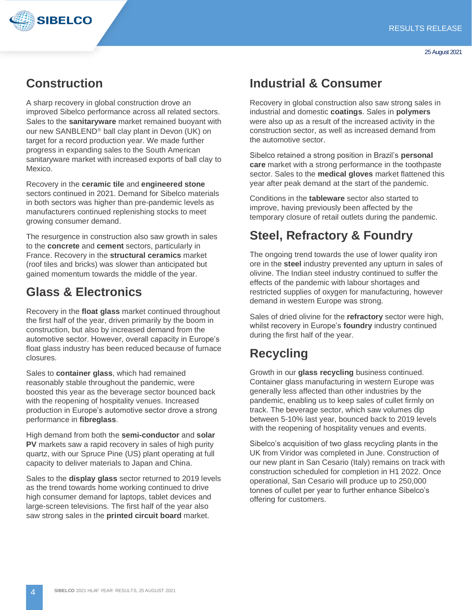

## **Construction**

A sharp recovery in global construction drove an improved Sibelco performance across all related sectors. Sales to the **sanitaryware** market remained buoyant with our new SANBLEND<sup>®</sup> ball clay plant in Devon (UK) on target for a record production year. We made further progress in expanding sales to the South American sanitaryware market with increased exports of ball clay to Mexico.

Recovery in the **ceramic tile** and **engineered stone** sectors continued in 2021. Demand for Sibelco materials in both sectors was higher than pre-pandemic levels as manufacturers continued replenishing stocks to meet growing consumer demand.

The resurgence in construction also saw growth in sales to the **concrete** and **cement** sectors, particularly in France. Recovery in the **structural ceramics** market (roof tiles and bricks) was slower than anticipated but gained momentum towards the middle of the year.

## **Glass & Electronics**

Recovery in the **float glass** market continued throughout the first half of the year, driven primarily by the boom in construction, but also by increased demand from the automotive sector. However, overall capacity in Europe's float glass industry has been reduced because of furnace closures.

Sales to **container glass**, which had remained reasonably stable throughout the pandemic, were boosted this year as the beverage sector bounced back with the reopening of hospitality venues. Increased production in Europe's automotive sector drove a strong performance in **fibreglass**.

High demand from both the **semi-conductor** and **solar PV** markets saw a rapid recovery in sales of high purity quartz, with our Spruce Pine (US) plant operating at full capacity to deliver materials to Japan and China.

Sales to the **display glass** sector returned to 2019 levels as the trend towards home working continued to drive high consumer demand for laptops, tablet devices and large-screen televisions. The first half of the year also saw strong sales in the **printed circuit board** market.

## **Industrial & Consumer**

Recovery in global construction also saw strong sales in industrial and domestic **coatings**. Sales in **polymers** were also up as a result of the increased activity in the construction sector, as well as increased demand from the automotive sector.

Sibelco retained a strong position in Brazil's **personal care** market with a strong performance in the toothpaste sector. Sales to the **medical gloves** market flattened this year after peak demand at the start of the pandemic.

Conditions in the **tableware** sector also started to improve, having previously been affected by the temporary closure of retail outlets during the pandemic.

# **Steel, Refractory & Foundry**

The ongoing trend towards the use of lower quality iron ore in the **steel** industry prevented any upturn in sales of olivine. The Indian steel industry continued to suffer the effects of the pandemic with labour shortages and restricted supplies of oxygen for manufacturing, however demand in western Europe was strong.

Sales of dried olivine for the **refractory** sector were high, whilst recovery in Europe's **foundry** industry continued during the first half of the year.

# **Recycling**

Growth in our **glass recycling** business continued. Container glass manufacturing in western Europe was generally less affected than other industries by the pandemic, enabling us to keep sales of cullet firmly on track. The beverage sector, which saw volumes dip between 5-10% last year, bounced back to 2019 levels with the reopening of hospitality venues and events.

Sibelco's acquisition of two glass recycling plants in the UK from Viridor was completed in June. Construction of our new plant in San Cesario (Italy) remains on track with construction scheduled for completion in H1 2022. Once operational, San Cesario will produce up to 250,000 tonnes of cullet per year to further enhance Sibelco's offering for customers.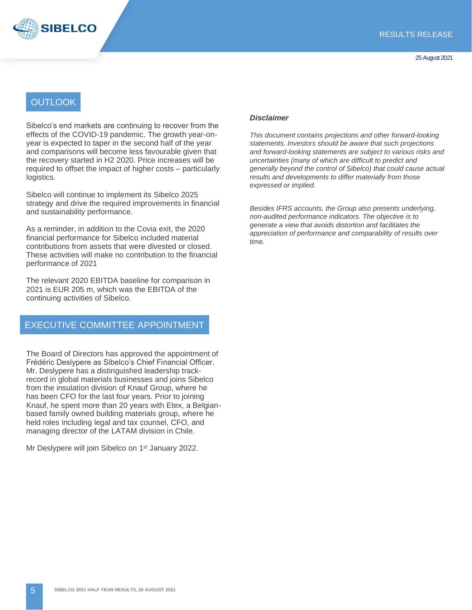



#### **OUTLOOK**

Sibelco's end markets are continuing to recover from the effects of the COVID-19 pandemic. The growth year-onyear is expected to taper in the second half of the year and comparisons will become less favourable given that the recovery started in H2 2020. Price increases will be required to offset the impact of higher costs – particularly logistics.

Sibelco will continue to implement its Sibelco 2025 strategy and drive the required improvements in financial and sustainability performance.

As a reminder, in addition to the Covia exit, the 2020 financial performance for Sibelco included material contributions from assets that were divested or closed. These activities will make no contribution to the financial performance of 2021

The relevant 2020 EBITDA baseline for comparison in 2021 is EUR 205 m, which was the EBITDA of the continuing activities of Sibelco.

#### EXECUTIVE COMMITTEE APPOINTMENT

The Board of Directors has approved the appointment of Frédéric Deslypere as Sibelco's Chief Financial Officer. Mr. Deslypere has a distinguished leadership trackrecord in global materials businesses and joins Sibelco from the insulation division of Knauf Group, where he has been CFO for the last four years. Prior to joining Knauf, he spent more than 20 years with Etex, a Belgianbased family owned building materials group, where he held roles including legal and tax counsel, CFO, and managing director of the LATAM division in Chile.

Mr Deslypere will join Sibelco on 1<sup>st</sup> January 2022.

#### *Disclaimer*

*This document contains projections and other forward-looking statements. Investors should be aware that such projections and forward-looking statements are subject to various risks and uncertainties (many of which are difficult to predict and generally beyond the control of Sibelco) that could cause actual results and developments to differ materially from those expressed or implied.*

*Besides IFRS accounts, the Group also presents underlying, non-audited performance indicators. The objective is to generate a view that avoids distortion and facilitates the appreciation of performance and comparability of results over time.*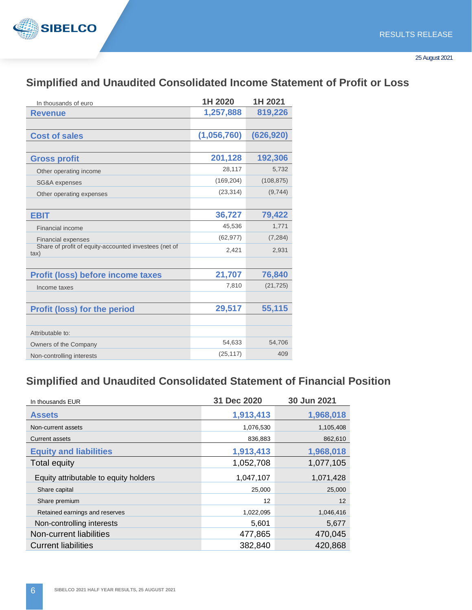

### **Simplified and Unaudited Consolidated Income Statement of Profit or Loss**

| In thousands of euro                                          | 1H 2020     | 1H 2021    |
|---------------------------------------------------------------|-------------|------------|
| <b>Revenue</b>                                                | 1,257,888   | 819,226    |
|                                                               |             |            |
| <b>Cost of sales</b>                                          | (1,056,760) | (626, 920) |
|                                                               |             |            |
| <b>Gross profit</b>                                           | 201,128     | 192,306    |
| Other operating income                                        | 28,117      | 5,732      |
| SG&A expenses                                                 | (169, 204)  | (108, 875) |
| Other operating expenses                                      | (23, 314)   | (9,744)    |
|                                                               |             |            |
| <b>EBIT</b>                                                   | 36,727      | 79,422     |
| <b>Financial income</b>                                       | 45,536      | 1,771      |
| <b>Financial expenses</b>                                     | (62, 977)   | (7, 284)   |
| Share of profit of equity-accounted investees (net of<br>tax) | 2,421       | 2,931      |
|                                                               |             |            |
| <b>Profit (loss) before income taxes</b>                      | 21,707      | 76,840     |
| Income taxes                                                  | 7,810       | (21, 725)  |
|                                                               |             |            |
| <b>Profit (loss) for the period</b>                           | 29,517      | 55,115     |
|                                                               |             |            |
| Attributable to:                                              |             |            |
| Owners of the Company                                         | 54,633      | 54,706     |
| Non-controlling interests                                     | (25, 117)   | 409        |

### **Simplified and Unaudited Consolidated Statement of Financial Position**

| In thousands EUR                      | 31 Dec 2020 | 30 Jun 2021 |
|---------------------------------------|-------------|-------------|
| <b>Assets</b>                         | 1,913,413   | 1,968,018   |
| Non-current assets                    | 1,076,530   | 1,105,408   |
| <b>Current assets</b>                 | 836,883     | 862,610     |
| <b>Equity and liabilities</b>         | 1,913,413   | 1,968,018   |
| <b>Total equity</b>                   | 1,052,708   | 1,077,105   |
| Equity attributable to equity holders | 1,047,107   | 1,071,428   |
| Share capital                         | 25,000      | 25,000      |
| Share premium                         | 12          | 12          |
| Retained earnings and reserves        | 1,022,095   | 1,046,416   |
| Non-controlling interests             | 5,601       | 5,677       |
| Non-current liabilities               | 477,865     | 470,045     |
| <b>Current liabilities</b>            | 382,840     | 420,868     |